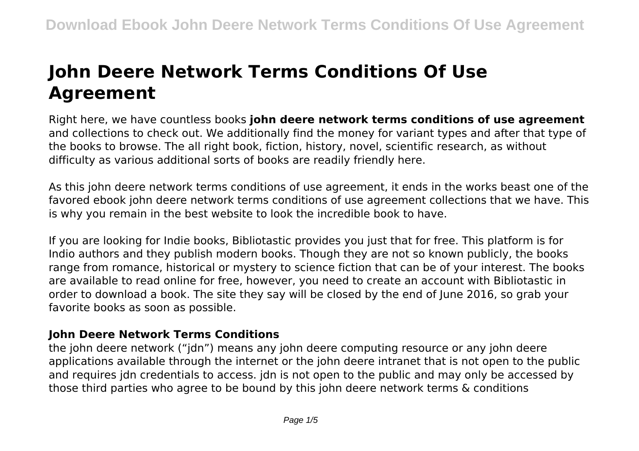# **John Deere Network Terms Conditions Of Use Agreement**

Right here, we have countless books **john deere network terms conditions of use agreement** and collections to check out. We additionally find the money for variant types and after that type of the books to browse. The all right book, fiction, history, novel, scientific research, as without difficulty as various additional sorts of books are readily friendly here.

As this john deere network terms conditions of use agreement, it ends in the works beast one of the favored ebook john deere network terms conditions of use agreement collections that we have. This is why you remain in the best website to look the incredible book to have.

If you are looking for Indie books, Bibliotastic provides you just that for free. This platform is for Indio authors and they publish modern books. Though they are not so known publicly, the books range from romance, historical or mystery to science fiction that can be of your interest. The books are available to read online for free, however, you need to create an account with Bibliotastic in order to download a book. The site they say will be closed by the end of June 2016, so grab your favorite books as soon as possible.

## **John Deere Network Terms Conditions**

the john deere network ("jdn") means any john deere computing resource or any john deere applications available through the internet or the john deere intranet that is not open to the public and requires jdn credentials to access. jdn is not open to the public and may only be accessed by those third parties who agree to be bound by this john deere network terms & conditions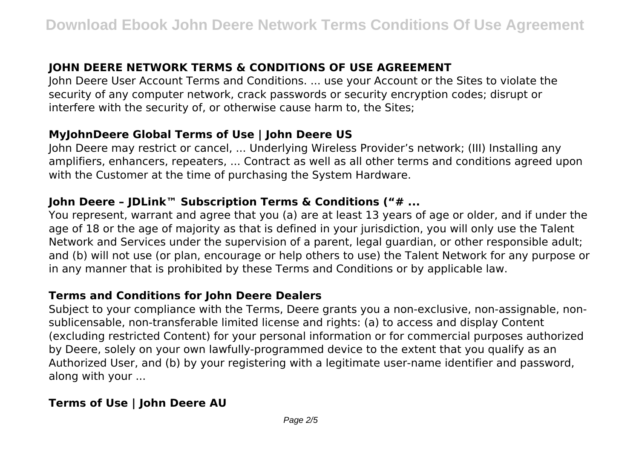# **JOHN DEERE NETWORK TERMS & CONDITIONS OF USE AGREEMENT**

John Deere User Account Terms and Conditions. ... use your Account or the Sites to violate the security of any computer network, crack passwords or security encryption codes; disrupt or interfere with the security of, or otherwise cause harm to, the Sites;

## **MyJohnDeere Global Terms of Use | John Deere US**

John Deere may restrict or cancel, ... Underlying Wireless Provider's network; (III) Installing any amplifiers, enhancers, repeaters, ... Contract as well as all other terms and conditions agreed upon with the Customer at the time of purchasing the System Hardware.

## **John Deere – JDLink™ Subscription Terms & Conditions ("# ...**

You represent, warrant and agree that you (a) are at least 13 years of age or older, and if under the age of 18 or the age of majority as that is defined in your jurisdiction, you will only use the Talent Network and Services under the supervision of a parent, legal guardian, or other responsible adult; and (b) will not use (or plan, encourage or help others to use) the Talent Network for any purpose or in any manner that is prohibited by these Terms and Conditions or by applicable law.

#### **Terms and Conditions for John Deere Dealers**

Subject to your compliance with the Terms, Deere grants you a non-exclusive, non-assignable, nonsublicensable, non-transferable limited license and rights: (a) to access and display Content (excluding restricted Content) for your personal information or for commercial purposes authorized by Deere, solely on your own lawfully-programmed device to the extent that you qualify as an Authorized User, and (b) by your registering with a legitimate user-name identifier and password, along with your ...

## **Terms of Use | John Deere AU**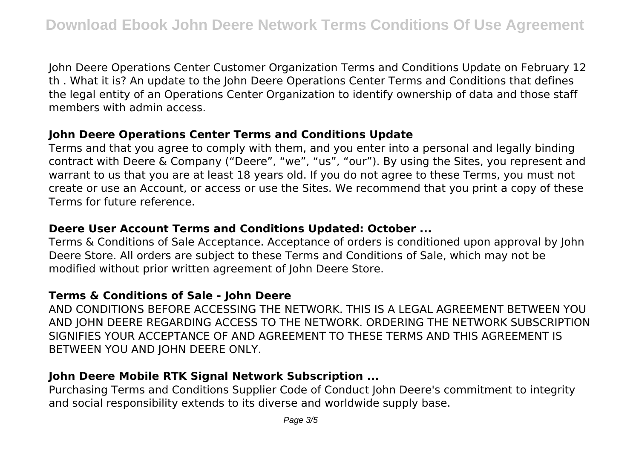John Deere Operations Center Customer Organization Terms and Conditions Update on February 12 th . What it is? An update to the John Deere Operations Center Terms and Conditions that defines the legal entity of an Operations Center Organization to identify ownership of data and those staff members with admin access.

## **John Deere Operations Center Terms and Conditions Update**

Terms and that you agree to comply with them, and you enter into a personal and legally binding contract with Deere & Company ("Deere", "we", "us", "our"). By using the Sites, you represent and warrant to us that you are at least 18 years old. If you do not agree to these Terms, you must not create or use an Account, or access or use the Sites. We recommend that you print a copy of these Terms for future reference.

## **Deere User Account Terms and Conditions Updated: October ...**

Terms & Conditions of Sale Acceptance. Acceptance of orders is conditioned upon approval by John Deere Store. All orders are subject to these Terms and Conditions of Sale, which may not be modified without prior written agreement of John Deere Store.

## **Terms & Conditions of Sale - John Deere**

AND CONDITIONS BEFORE ACCESSING THE NETWORK. THIS IS A LEGAL AGREEMENT BETWEEN YOU AND JOHN DEERE REGARDING ACCESS TO THE NETWORK. ORDERING THE NETWORK SUBSCRIPTION SIGNIFIES YOUR ACCEPTANCE OF AND AGREEMENT TO THESE TERMS AND THIS AGREEMENT IS BETWEEN YOU AND JOHN DEERE ONLY.

# **John Deere Mobile RTK Signal Network Subscription ...**

Purchasing Terms and Conditions Supplier Code of Conduct John Deere's commitment to integrity and social responsibility extends to its diverse and worldwide supply base.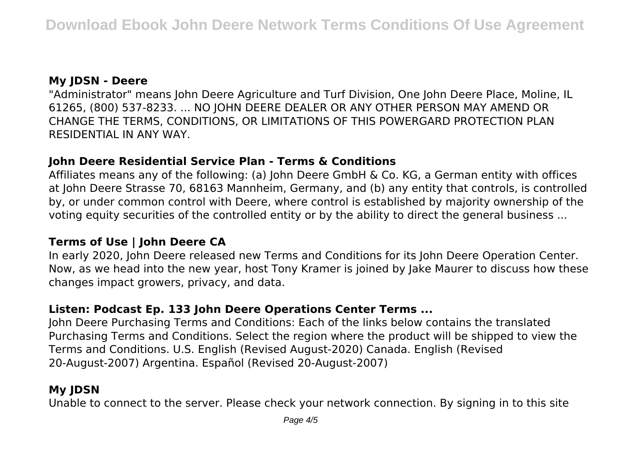## **My JDSN - Deere**

"Administrator" means John Deere Agriculture and Turf Division, One John Deere Place, Moline, IL 61265, (800) 537-8233. ... NO JOHN DEERE DEALER OR ANY OTHER PERSON MAY AMEND OR CHANGE THE TERMS, CONDITIONS, OR LIMITATIONS OF THIS POWERGARD PROTECTION PLAN RESIDENTIAL IN ANY WAY.

### **John Deere Residential Service Plan - Terms & Conditions**

Affiliates means any of the following: (a) John Deere GmbH & Co. KG, a German entity with offices at John Deere Strasse 70, 68163 Mannheim, Germany, and (b) any entity that controls, is controlled by, or under common control with Deere, where control is established by majority ownership of the voting equity securities of the controlled entity or by the ability to direct the general business ...

## **Terms of Use | John Deere CA**

In early 2020, John Deere released new Terms and Conditions for its John Deere Operation Center. Now, as we head into the new year, host Tony Kramer is joined by Jake Maurer to discuss how these changes impact growers, privacy, and data.

## **Listen: Podcast Ep. 133 John Deere Operations Center Terms ...**

John Deere Purchasing Terms and Conditions: Each of the links below contains the translated Purchasing Terms and Conditions. Select the region where the product will be shipped to view the Terms and Conditions. U.S. English (Revised August-2020) Canada. English (Revised 20-August-2007) Argentina. Español (Revised 20-August-2007)

# **My JDSN**

Unable to connect to the server. Please check your network connection. By signing in to this site